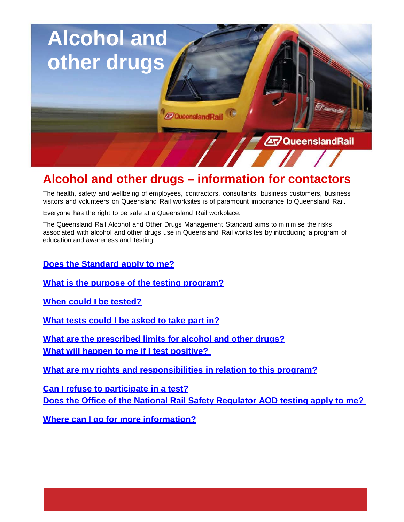

# **Alcohol and other drugs – information for contactors**

The health, safety and wellbeing of employees, contractors, consultants, business customers, business visitors and volunteers on Queensland Rail worksites is of paramount importance to Queensland Rail.

Everyone has the right to be safe at a Queensland Rail workplace.

The Queensland Rail Alcohol and Other Drugs Management Standard aims to minimise the risks associated with alcohol and other drugs use in Queensland Rail worksites by introducing a program of education and awareness and testing.

**Does the Standard apply to me?**

**What is the purpose of the testing program?**

**When could I be tested?**

**What tests could I be asked to take part in?**

**What are the prescribed limits for alcohol and other drugs? What will happen to me if I test positive?** 

**What are my rights and responsibilities in relation to this program?**

**Can I refuse to participate in a test? Does the Office of the National Rail Safety Regulator AOD testing apply to me?** 

**Where can I go for more information?**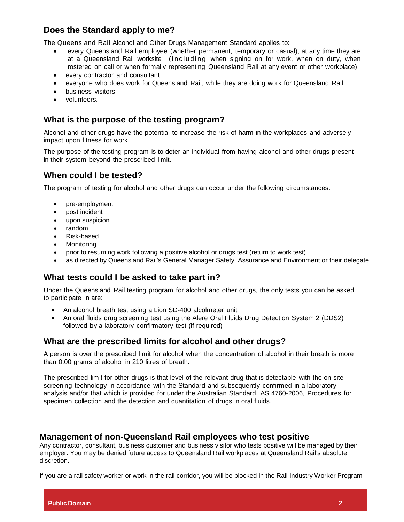## **Does the Standard apply to me?**

The Queensland Rail Alcohol and Other Drugs Management Standard applies to:

- every Queensland Rail employee (whether permanent, temporary or casual), at any time they are at a Queensland Rail worksite (including when signing on for work, when on duty, when rostered on call or when formally representing Queensland Rail at any event or other workplace)
- every contractor and consultant
- everyone who does work for Queensland Rail, while they are doing work for Queensland Rail
- business visitors
- volunteers.

### **What is the purpose of the testing program?**

Alcohol and other drugs have the potential to increase the risk of harm in the workplaces and adversely impact upon fitness for work.

The purpose of the testing program is to deter an individual from having alcohol and other drugs present in their system beyond the prescribed limit.

#### **When could I be tested?**

The program of testing for alcohol and other drugs can occur under the following circumstances:

- pre-employment
- post incident
- upon suspicion
- random
- Risk-based
- **Monitoring**
- prior to resuming work following a positive alcohol or drugs test (return to work test)
- as directed by Queensland Rail's General Manager Safety, Assurance and Environment or their delegate.

## **What tests could I be asked to take part in?**

Under the Queensland Rail testing program for alcohol and other drugs, the only tests you can be asked to participate in are:

- An alcohol breath test using a Lion SD-400 alcolmeter unit
- An oral fluids drug screening test using the Alere Oral Fluids Drug Detection System 2 (DDS2) followed by a laboratory confirmatory test (if required)

## **What are the prescribed limits for alcohol and other drugs?**

A person is over the prescribed limit for alcohol when the concentration of alcohol in their breath is more than 0.00 grams of alcohol in 210 litres of breath.

The prescribed limit for other drugs is that level of the relevant drug that is detectable with the on-site screening technology in accordance with the Standard and subsequently confirmed in a laboratory analysis and/or that which is provided for under the Australian Standard, AS 4760-2006, Procedures for specimen collection and the detection and quantitation of drugs in oral fluids.

#### **Management of non-Queensland Rail employees who test positive**

Any contractor, consultant, business customer and business visitor who tests positive will be managed by their employer. You may be denied future access to Queensland Rail workplaces at Queensland Rail's absolute discretion.

If you are a rail safety worker or work in the rail corridor, you will be blocked in the Rail Industry Worker Program